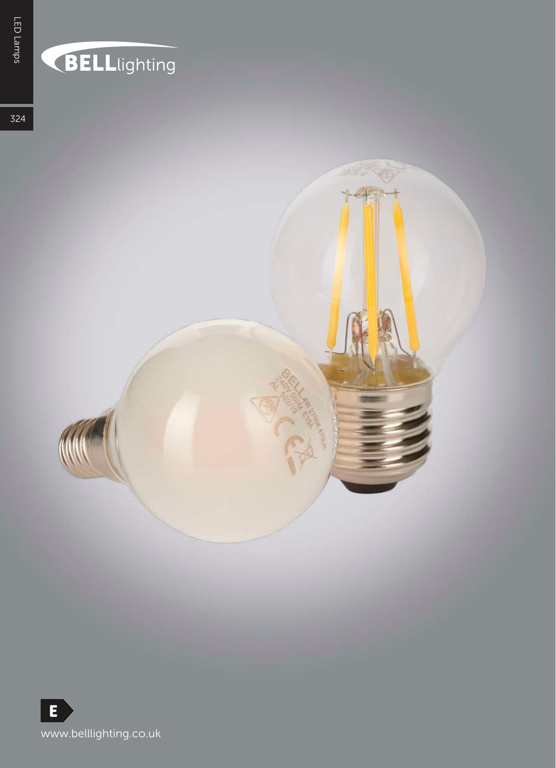# BELLlighting

324

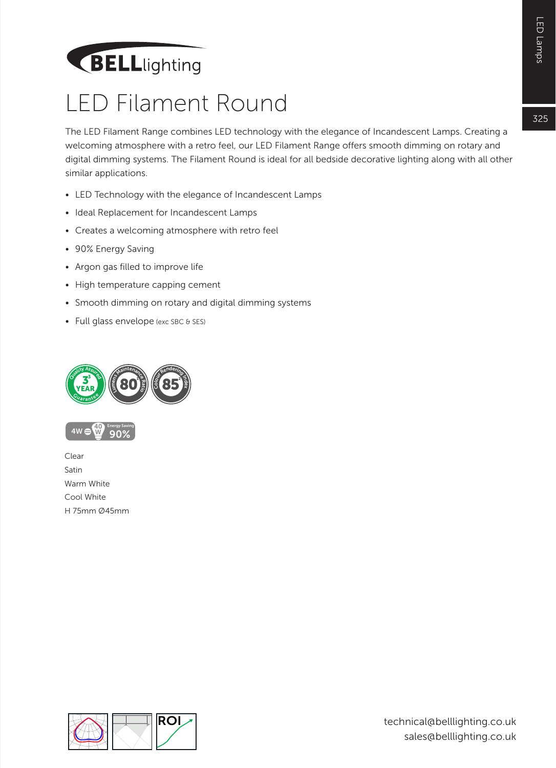## **BELL**lighting

#### LED Filament Round

The LED Filament Range combines LED technology with the elegance of Incandescent Lamps. Creating a welcoming atmosphere with a retro feel, our LED Filament Range offers smooth dimming on rotary and digital dimming systems. The Filament Round is ideal for all bedside decorative lighting along with all other similar applications.

- LED Technology with the elegance of Incandescent Lamps
- Ideal Replacement for Incandescent Lamps
- Creates a welcoming atmosphere with retro feel
- 90% Energy Saving
- Argon gas filled to improve life
- High temperature capping cement
- Smooth dimming on rotary and digital dimming systems
- Full glass envelope (exc SBC & SES)





Clear Satin Warm White Cool White H 75mm Ø45mm

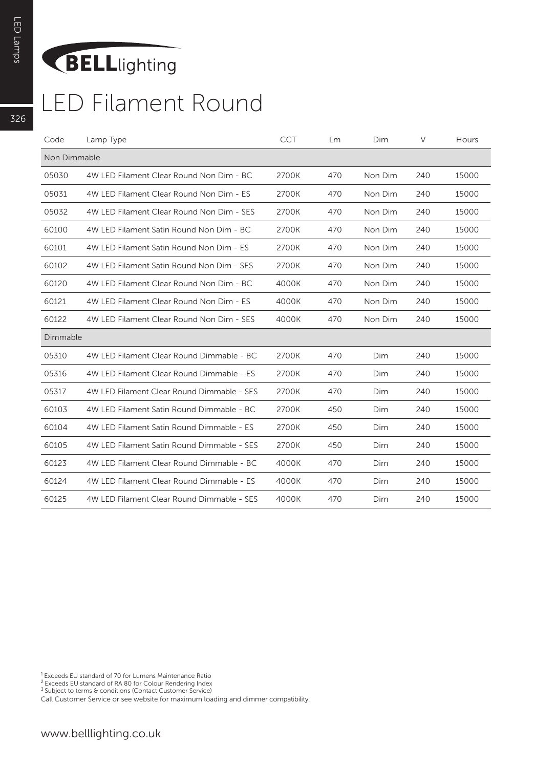### **BELL**lighting

#### LED Filament Round

| Code         | Lamp Type                                  | <b>CCT</b> | Lm  | Dim     | V   | Hours |
|--------------|--------------------------------------------|------------|-----|---------|-----|-------|
| Non Dimmable |                                            |            |     |         |     |       |
| 05030        | 4W LED Filament Clear Round Non Dim - BC   | 2700K      | 470 | Non Dim | 240 | 15000 |
| 05031        | 4W LED Filament Clear Round Non Dim - ES   | 2700K      | 470 | Non Dim | 240 | 15000 |
| 05032        | 4W LED Filament Clear Round Non Dim - SES  | 2700K      | 470 | Non Dim | 240 | 15000 |
| 60100        | 4W LED Filament Satin Round Non Dim - BC   | 2700K      | 470 | Non Dim | 240 | 15000 |
| 60101        | 4W LED Filament Satin Round Non Dim - ES   | 2700K      | 470 | Non Dim | 240 | 15000 |
| 60102        | 4W LED Filament Satin Round Non Dim - SES  | 2700K      | 470 | Non Dim | 240 | 15000 |
| 60120        | 4W LED Filament Clear Round Non Dim - BC   | 4000K      | 470 | Non Dim | 240 | 15000 |
| 60121        | 4W LED Filament Clear Round Non Dim - ES   | 4000K      | 470 | Non Dim | 240 | 15000 |
| 60122        | 4W LED Filament Clear Round Non Dim - SES  | 4000K      | 470 | Non Dim | 240 | 15000 |
| Dimmable     |                                            |            |     |         |     |       |
| 05310        | 4W LED Filament Clear Round Dimmable - BC  | 2700K      | 470 | Dim     | 240 | 15000 |
| 05316        | 4W LED Filament Clear Round Dimmable - ES  | 2700K      | 470 | Dim     | 240 | 15000 |
| 05317        | 4W LED Filament Clear Round Dimmable - SES | 2700K      | 470 | Dim     | 240 | 15000 |
| 60103        | 4W LED Filament Satin Round Dimmable - BC  | 2700K      | 450 | Dim     | 240 | 15000 |
| 60104        | 4W LED Filament Satin Round Dimmable - ES  | 2700K      | 450 | Dim     | 240 | 15000 |
| 60105        | 4W LED Filament Satin Round Dimmable - SES | 2700K      | 450 | Dim     | 240 | 15000 |
| 60123        | 4W LED Filament Clear Round Dimmable - BC  | 4000K      | 470 | Dim     | 240 | 15000 |
| 60124        | 4W LED Filament Clear Round Dimmable - ES  | 4000K      | 470 | Dim     | 240 | 15000 |
| 60125        | 4W LED Filament Clear Round Dimmable - SES | 4000K      | 470 | Dim     | 240 | 15000 |

1 Exceeds EU standard of 70 for Lumens Maintenance Ratio

<sup>2</sup> Exceeds EU standard of RA 80 for Colour Rendering Index<br><sup>3</sup> Subject to terms & conditions (Contact Customer Service)

Call Customer Service or see website for maximum loading and dimmer compatibility.